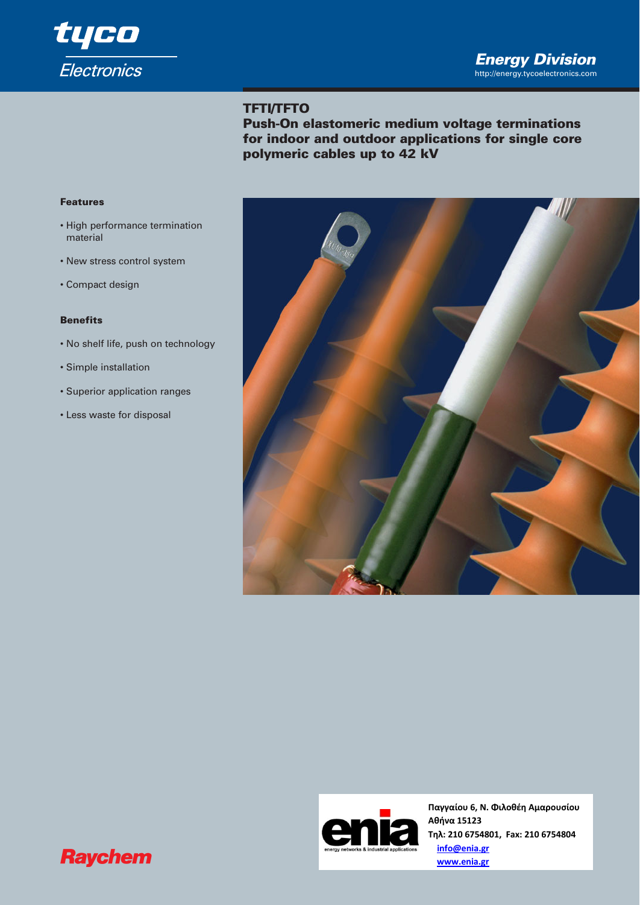

# **TFTI/TFTO**

**Push-On elastomeric medium voltage terminations for indoor and outdoor applications for single core polymeric cables up to 42 kV** 

#### **Features**

- High performance termination material
- New stress control system
- Compact design

# **Benefits**

- No shelf life, push on technology
- Simple installation
- Superior application ranges
- Less waste for disposal





**Παγγαίου 6, Ν. Φιλοθέη Αμαρουσίου Αθήνα 15123 Τηλ: 210 6754801, Fax: 210 6754804 info@enia.gr www.enia.gr**

# **Raychem**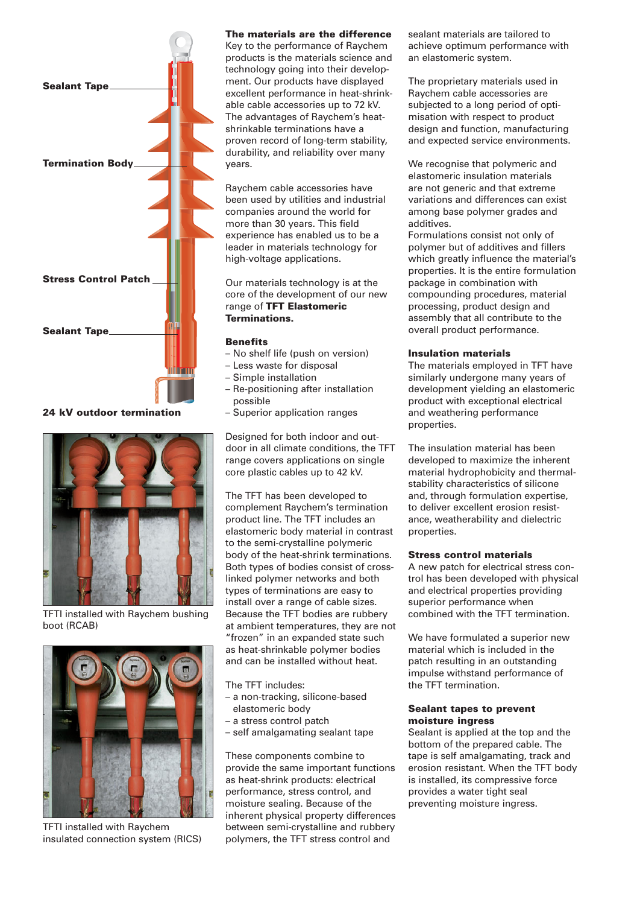

**24 kV outdoor termination**



TFTI installed with Raychem bushing boot (RCAB)



TFTI installed with Raychem insulated connection system (RICS)

#### **The materials are the difference**

Key to the performance of Raychem products is the materials science and technology going into their development. Our products have displayed excellent performance in heat-shrinkable cable accessories up to 72 kV. The advantages of Raychem's heatshrinkable terminations have a proven record of long-term stability, durability, and reliability over many years.

Raychem cable accessories have been used by utilities and industrial companies around the world for more than 30 years. This field experience has enabled us to be a leader in materials technology for high-voltage applications.

Our materials technology is at the core of the development of our new range of **TFT Elastomeric Terminations.**

#### **Benefits**

- No shelf life (push on version)
- Less waste for disposal
- Simple installation
- Re-positioning after installation possible
- Superior application ranges

Designed for both indoor and outdoor in all climate conditions, the TFT range covers applications on single core plastic cables up to 42 kV.

The TFT has been developed to complement Raychem's termination product line. The TFT includes an elastomeric body material in contrast to the semi-crystalline polymeric body of the heat-shrink terminations. Both types of bodies consist of crosslinked polymer networks and both types of terminations are easy to install over a range of cable sizes. Because the TFT bodies are rubbery at ambient temperatures, they are not "frozen" in an expanded state such as heat-shrinkable polymer bodies and can be installed without heat.

The TFT includes:

- a non-tracking, silicone-based elastomeric body
- a stress control patch
- self amalgamating sealant tape

These components combine to provide the same important functions as heat-shrink products: electrical performance, stress control, and moisture sealing. Because of the inherent physical property differences between semi-crystalline and rubbery polymers, the TFT stress control and

sealant materials are tailored to achieve optimum performance with an elastomeric system.

The proprietary materials used in Raychem cable accessories are subjected to a long period of optimisation with respect to product design and function, manufacturing and expected service environments.

We recognise that polymeric and elastomeric insulation materials are not generic and that extreme variations and differences can exist among base polymer grades and additives.

Formulations consist not only of polymer but of additives and fillers which greatly influence the material's properties. It is the entire formulation package in combination with compounding procedures, material processing, product design and assembly that all contribute to the overall product performance.

#### **Insulation materials**

The materials employed in TFT have similarly undergone many years of development yielding an elastomeric product with exceptional electrical and weathering performance properties.

The insulation material has been developed to maximize the inherent material hydrophobicity and thermalstability characteristics of silicone and, through formulation expertise, to deliver excellent erosion resistance, weatherability and dielectric properties.

#### **Stress control materials**

A new patch for electrical stress control has been developed with physical and electrical properties providing superior performance when combined with the TFT termination.

We have formulated a superior new material which is included in the patch resulting in an outstanding impulse withstand performance of the TFT termination.

#### **Sealant tapes to prevent moisture ingress**

Sealant is applied at the top and the bottom of the prepared cable. The tape is self amalgamating, track and erosion resistant. When the TFT body is installed, its compressive force provides a water tight seal preventing moisture ingress.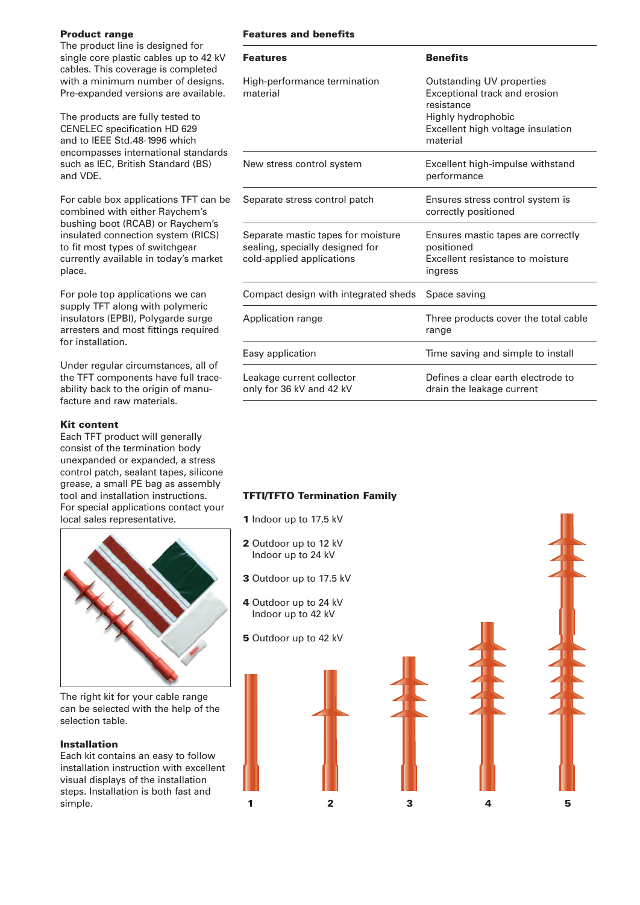## **Product range**

The product line is designed for single core plastic cables up to 42 kV cables. This coverage is completed with a minimum number of designs. Pre-expanded versions are available.

The products are fully tested to CENELEC specification HD 629 and to IEEE Std.48-1996 which encompasses international standards such as IEC, British Standard (BS) and VDE.

For cable box applications TFT can be combined with either Raychem's bushing boot (RCAB) or Raychem's insulated connection system (RICS) to fit most types of switchgear currently available in today's market place.

For pole top applications we can supply TFT along with polymeric insulators (EPBI), Polygarde surge arresters and most fittings required for installation.

Under regular circumstances, all of the TFT components have full traceability back to the origin of manufacture and raw materials.

#### **Kit content**

Each TFT product will generally consist of the termination body unexpanded or expanded, a stress control patch, sealant tapes, silicone grease, a small PE bag as assembly tool and installation instructions. For special applications contact your local sales representative.



The right kit for your cable range can be selected with the help of the selection table.

#### **Installation**

Each kit contains an easy to follow installation instruction with excellent visual displays of the installation steps. Installation is both fast and simple. **1 2 3 4 5** 

# **Features and benefits**

| <b>Features</b>                                                                                    | <b>Benefits</b>                                                                                                                                 |
|----------------------------------------------------------------------------------------------------|-------------------------------------------------------------------------------------------------------------------------------------------------|
| High-performance termination<br>material                                                           | Outstanding UV properties<br>Exceptional track and erosion<br>resistance<br>Highly hydrophobic<br>Excellent high voltage insulation<br>material |
| New stress control system                                                                          | Excellent high-impulse withstand<br>performance                                                                                                 |
| Separate stress control patch                                                                      | Ensures stress control system is<br>correctly positioned                                                                                        |
| Separate mastic tapes for moisture<br>sealing, specially designed for<br>cold-applied applications | Ensures mastic tapes are correctly<br>positioned<br>Excellent resistance to moisture<br>ingress                                                 |
| Compact design with integrated sheds                                                               | Space saving                                                                                                                                    |
| Application range                                                                                  | Three products cover the total cable<br>range                                                                                                   |
| Easy application                                                                                   | Time saving and simple to install                                                                                                               |
| Leakage current collector<br>only for 36 kV and 42 kV                                              | Defines a clear earth electrode to<br>drain the leakage current                                                                                 |

## **TFTI/TFTO Termination Family**

- **1** Indoor up to 17.5 kV
- **2** Outdoor up to 12 kV Indoor up to 24 kV
- **3** Outdoor up to 17.5 kV
- **4** Outdoor up to 24 kV Indoor up to 42 kV
- **5** Outdoor up to 42 kV